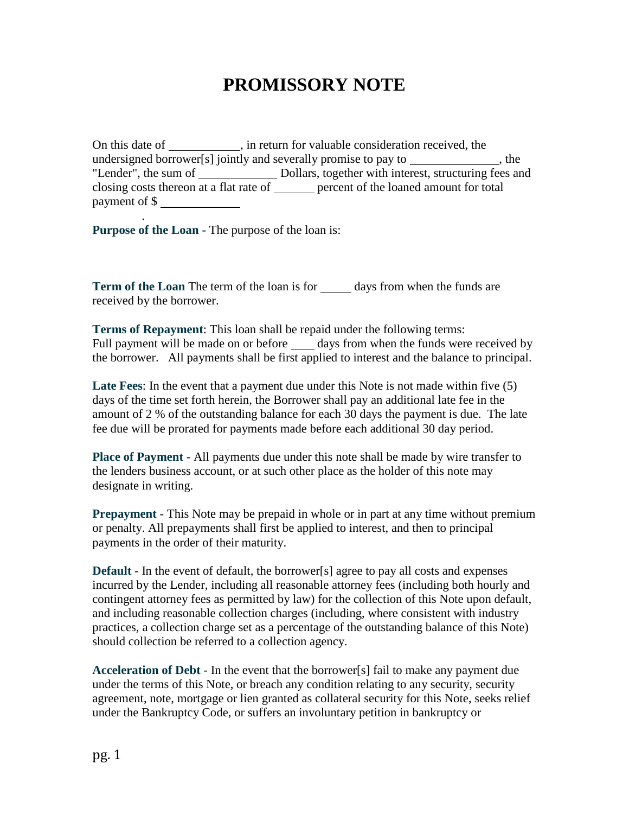## **PROMISSORY NOTE**

On this date of \_\_\_\_\_\_\_\_\_\_, in return for valuable consideration received, the undersigned borrower[s] jointly and severally promise to pay to , the "Lender", the sum of \_\_\_\_\_\_\_\_\_\_\_\_\_\_\_\_ Dollars, together with interest, structuring fees and closing costs thereon at a flat rate of <u>percent</u> of the loaned amount for total payment of \$

**Purpose of the Loan -** The purpose of the loan is:

.

**Term of the Loan** The term of the loan is for <u>days from when the funds are</u> received by the borrower.

**Terms of Repayment**: This loan shall be repaid under the following terms: Full payment will be made on or before days from when the funds were received by the borrower. All payments shall be first applied to interest and the balance to principal.

**Late Fees**: In the event that a payment due under this Note is not made within five (5) days of the time set forth herein, the Borrower shall pay an additional late fee in the amount of 2 % of the outstanding balance for each 30 days the payment is due. The late fee due will be prorated for payments made before each additional 30 day period.

**Place of Payment** - All payments due under this note shall be made by wire transfer to the lenders business account, or at such other place as the holder of this note may designate in writing.

**Prepayment** - This Note may be prepaid in whole or in part at any time without premium or penalty. All prepayments shall first be applied to interest, and then to principal payments in the order of their maturity.

**Default** - In the event of default, the borrower[s] agree to pay all costs and expenses incurred by the Lender, including all reasonable attorney fees (including both hourly and contingent attorney fees as permitted by law) for the collection of this Note upon default, and including reasonable collection charges (including, where consistent with industry practices, a collection charge set as a percentage of the outstanding balance of this Note) should collection be referred to a collection agency.

**Acceleration of Debt** - In the event that the borrower[s] fail to make any payment due under the terms of this Note, or breach any condition relating to any security, security agreement, note, mortgage or lien granted as collateral security for this Note, seeks relief under the Bankruptcy Code, or suffers an involuntary petition in bankruptcy or